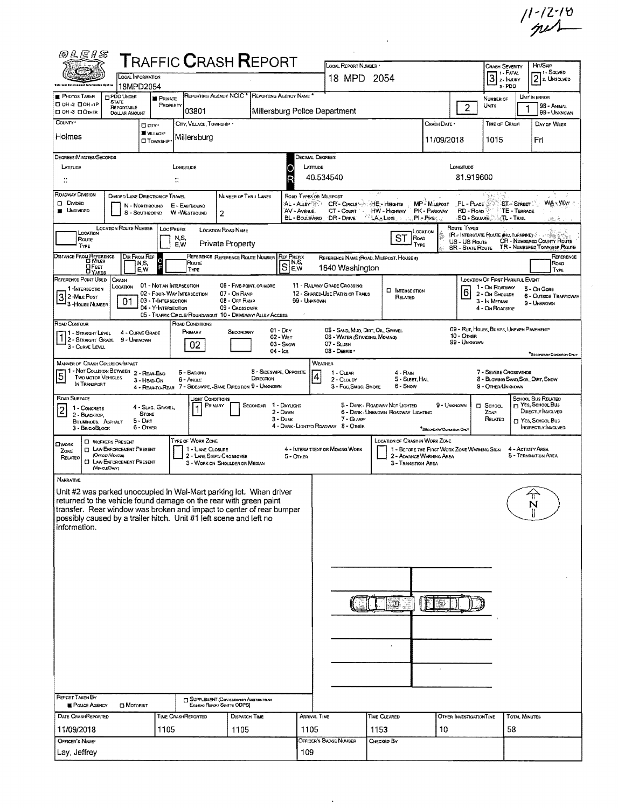$11 - 12 - 18$ 

 $\cdot$ 

| <i>®LEIS</i>                                                                                                                                                                                                                                                                                                       |                                                                                                                                       |                                                                                                      |                              |                                       | <b>TRAFFIC CRASH REPORT</b>                                                                                                              |                                      |                                                                 |                        | LOCAL REPORT NUMBER                                                                               |                |                                                                                          |                                                |                                        |                                                         | <b>CRASH SEVERITY</b>                                                                                          |                                            | HIT/SKIP                                                                                                 |
|--------------------------------------------------------------------------------------------------------------------------------------------------------------------------------------------------------------------------------------------------------------------------------------------------------------------|---------------------------------------------------------------------------------------------------------------------------------------|------------------------------------------------------------------------------------------------------|------------------------------|---------------------------------------|------------------------------------------------------------------------------------------------------------------------------------------|--------------------------------------|-----------------------------------------------------------------|------------------------|---------------------------------------------------------------------------------------------------|----------------|------------------------------------------------------------------------------------------|------------------------------------------------|----------------------------------------|---------------------------------------------------------|----------------------------------------------------------------------------------------------------------------|--------------------------------------------|----------------------------------------------------------------------------------------------------------|
|                                                                                                                                                                                                                                                                                                                    |                                                                                                                                       | <b>COON INFORMATION</b>                                                                              |                              |                                       |                                                                                                                                          |                                      |                                                                 |                        | 18 MPD 2054                                                                                       |                |                                                                                          |                                                |                                        |                                                         | 1 - Fatal<br>$3 \times 1$ NJURY                                                                                |                                            | 11 - Solved<br>$2$ 2, UNSOLVED                                                                           |
| Shiy Law Enforcement Information Gyutne<br><b>PHOTOS TAKEN</b>                                                                                                                                                                                                                                                     | PDO UNDER                                                                                                                             | 18MPD2054<br><b>PRIVATE</b>                                                                          |                              |                                       | REPORTING AGENCY NCIC <sup>*</sup>                                                                                                       | REPORTING AGENCY NAME                |                                                                 |                        |                                                                                                   |                |                                                                                          |                                                |                                        |                                                         | 3-PDO<br>NUMBER OF                                                                                             |                                            | UNIT IN ERROR                                                                                            |
| □ 0Н-2 □ 0Н-1Р<br>□ OH-3 □ OTHER                                                                                                                                                                                                                                                                                   | <b>STATE</b><br>REPORTABLE<br><b>DOLLAR AMOUNT</b>                                                                                    |                                                                                                      | PROPERTY                     | 03801                                 |                                                                                                                                          |                                      |                                                                 |                        | Millersburg Police Department                                                                     |                |                                                                                          |                                                |                                        | $\overline{c}$                                          | UNITS                                                                                                          |                                            | 98 - ANIMAL<br>99 - UNKNOWN                                                                              |
| COUNTY <sup>*</sup>                                                                                                                                                                                                                                                                                                |                                                                                                                                       | D CITY .                                                                                             |                              | CITY, VILLAGE, TOWNSHIP .             |                                                                                                                                          |                                      |                                                                 |                        |                                                                                                   |                |                                                                                          |                                                | Crash Date *                           |                                                         | TIME OF CRASH                                                                                                  |                                            | DAY OF WEEK                                                                                              |
| Holmes                                                                                                                                                                                                                                                                                                             |                                                                                                                                       | W VILLAGE*<br><b>CI</b> TOWNSHIP                                                                     |                              | Millersburg                           |                                                                                                                                          |                                      |                                                                 |                        |                                                                                                   |                |                                                                                          |                                                | 11/09/2018                             |                                                         | 1015                                                                                                           |                                            | Fri                                                                                                      |
| DEGREES/MINUTES/SECONDS                                                                                                                                                                                                                                                                                            |                                                                                                                                       |                                                                                                      |                              |                                       |                                                                                                                                          |                                      |                                                                 | Decimal Degrees        |                                                                                                   |                |                                                                                          |                                                |                                        |                                                         |                                                                                                                |                                            |                                                                                                          |
| LATITUDE                                                                                                                                                                                                                                                                                                           |                                                                                                                                       |                                                                                                      | LONGITUDE                    |                                       |                                                                                                                                          |                                      | D                                                               | LATTUDE<br>40.534540   |                                                                                                   |                |                                                                                          |                                                |                                        | Longmore<br>81.919600                                   |                                                                                                                |                                            |                                                                                                          |
| $\ddot{\ddot{\ }}$<br>ROADWAY DIVISION                                                                                                                                                                                                                                                                             |                                                                                                                                       | DIVIDED LANE DIRECTION OF TRAVEL                                                                     | $\ddot{\phantom{a}}$         |                                       | NUMBER OF THRU LANES                                                                                                                     |                                      |                                                                 | ROAD TYPES OR MILEPOST |                                                                                                   |                |                                                                                          |                                                |                                        |                                                         |                                                                                                                |                                            |                                                                                                          |
| DI DIVIDED<br><b>UNDIVIDED</b>                                                                                                                                                                                                                                                                                     |                                                                                                                                       | N - NORTHBOUND<br>S - SOUTHBOUND                                                                     | E - EASTBOUND<br>W-WESTBOUND |                                       | $\overline{2}$                                                                                                                           |                                      | AL - ALLEY<br>AV - AVENUE<br>BL - BOULEVARD                     |                        | <b>CR'- CIRCLE</b> <sup>4</sup><br>CT - Court<br>DR - DRIVE                                       | ⊹HE - Heicerrs | HW - HIGHWAY<br>LA-LANS                                                                  | MP - MILEPOST<br>PK - PARKWAY<br>$PL - P$ ikes |                                        | PL - PLACE<br>RD - Roap<br>SQ - SQUARE                  |                                                                                                                | ST - STREET<br>TE - TERRACE<br>:TL - Trail | $WA - WAY$<br>18.25                                                                                      |
| LOCATION<br>Route<br>TYPE                                                                                                                                                                                                                                                                                          | LOCATION ROUTE NUMBER                                                                                                                 |                                                                                                      | Loc Prenx<br>N,S,<br>E.W     |                                       | <b>LOCATION ROAD NAME</b><br><b>Private Property</b>                                                                                     |                                      |                                                                 |                        |                                                                                                   |                | ST                                                                                       | LOCATION<br>ROAD<br>TYPE                       |                                        | ROUTE TYPES<br>US - US Route<br><b>SR - STATE ROUTE</b> |                                                                                                                |                                            | <b>IR. INTERSTATE ROUTE (NC. TURNPIKE)</b><br>CR - NUMBERED COUNTY ROUTE<br>TR - NUMBERED TOWNSHIP ROUTE |
| <b>DISTANCE FROM REFERENCE</b><br><b>DE</b> FEET                                                                                                                                                                                                                                                                   |                                                                                                                                       | DIR FROM REF<br>O<br>N,S,<br>E, W                                                                    |                              | Rouπ∈<br>TYPE                         | REFERENCE REFERENCE ROUTE NUMBER                                                                                                         |                                      | <b>REF PREFIX</b><br>$\overline{S}$ $_{\sf E,W}^{\sf N, \sf S}$ |                        | REFERENCE NAME (ROAD, MILEPOST, HOUSE 1)<br>1640 Washington                                       |                |                                                                                          |                                                |                                        |                                                         |                                                                                                                |                                            | REFERENCE<br>ROAD<br>TYPE                                                                                |
| REFERENCE POINT USED<br>1-INTERSECTION<br>32-MILE POST<br>3 - House Number                                                                                                                                                                                                                                         | CRASH<br>Location<br>01                                                                                                               | 01 - Not an Intersection<br>02 - FOUR-WAY INTERSECTION<br>03 - T-INTERSECTION<br>04 - Y-INTERSECTION |                              |                                       | 06 - FIVE-POINT, OR MORE<br>07 - On Ramp<br>08 - Off RAMP<br>09 - CROSSOVER<br>05 - Traffic Circle/Roundabout 10 - Driveway/Alley Access |                                      |                                                                 | 99 - UNKNOWN           | 11 - RAILWAY GRADE CROSSING<br>12 - SHARED-USE PATHS OR TRAILS                                    |                | <b>D</b> INTERSECTION<br>RELATED                                                         |                                                |                                        | 6                                                       | <b>LOCATION OF FIRST HARMFUL EVENT</b><br>1 - ON ROADWAY<br>2 - ON SHOULDE<br>3 - IN MEDIAN<br>4 - On Roadside |                                            | 5 - On Gone<br><b>6 - OUTSIDE TRAFFICWAY</b><br>9 - UNKNOWN                                              |
| ROAD CONTOUR<br>11 - Straight Level<br>1 - STRAIGHT GRADE<br>3 - CURVE LEVEL                                                                                                                                                                                                                                       | 9 - Unknown                                                                                                                           | 4 - CURVE GRADE                                                                                      | ROAD CONDITIONS              | Primary<br>02                         | SECONDARY                                                                                                                                |                                      | $01 - \text{Dev}$<br>02 - Wer<br>03 - Snow<br>$04 -$ ICE        |                        | 05 - SAND, MUD, DIRT, OIL, GRAVEL<br>06 - WATER (STANDING, MOVING)<br>07 - SLUSH<br>08 - DEBRIS · |                |                                                                                          |                                                |                                        | $10 -$ Other<br>99 - Unknown                            | 09 - Rut, HOLES, BUMPS, UNEVEN PAVEMENT                                                                        |                                            | "SECONDARY CONDITION ONLY                                                                                |
| MANNER OF CRASH COLUSION/IMPACT<br>1 - Not Collision Between 2 - Rear-End<br>5<br>Two Motor Vehicles<br>IN TRANSPORT                                                                                                                                                                                               |                                                                                                                                       | 3 - HEAD-ON                                                                                          | 6 - Angle                    | 5 - Backing                           | 4 - REAR-TO-REAR 7 - SIDESWIPE, -SAME DIRECTION 9 - UNKNOWN                                                                              | 8 - SIDESWIPE, OPPOSITE<br>DIRECTION |                                                                 | <b>WEATHER</b><br>4    | 1 - CLEAR<br>2 - CLOUDY<br>3 - Fog, SMOG, SMOKE                                                   |                | 4 - RAIN<br>5 - SLEET, HAIL<br>6 - Snow                                                  |                                                |                                        |                                                         | 7 - SEVERE CROSSWINDS<br>8 - Blowing Sand, Soil, Dirt, Snow<br>9 - OTHER/UNKNOWN                               |                                            |                                                                                                          |
| ROAD SURFACE<br>$\overline{\mathbf{c}}$<br>1 - CONCRETE<br>2 - BLACKTOP,<br>BITUMINOUS, ASPHALT<br>3 - BRICK/BLOCK                                                                                                                                                                                                 |                                                                                                                                       | 4 - SLAG, GRAVEL,<br><b>STONE</b><br>$5 -$ Dirt<br>6 - OTHER                                         |                              | JGHT CONDITIONS<br>PRIMARY            |                                                                                                                                          | SECONDAR                             | 1 - DAYUGHT<br>2 - Dawn<br>$3 -$ Dusk                           |                        | 7 - GLARE*<br>4 - DARK - LIGHTED ROADWAY 8 - OTHER                                                |                | 5 - DARK - ROADWAY NOT LIGHTED<br>6 - DARK - UNKNGWN ROADWAY LIGHTING                    |                                                | 9 - UNKNOWN<br>SECONDARY CONDITION ON! |                                                         | П SCHOOL<br>ZONE<br>RELATED                                                                                    |                                            | SCHOOL BUS RELATED<br>T YES, SCHOOL BUS<br>DIRECTLY INVOLVED<br>T YES, SCHOOL BUS<br>INDIRECTLY INVOLVED |
| OWORK<br>ZONE<br>RELATED                                                                                                                                                                                                                                                                                           | <b>C WORKERS PRESENT</b><br><b>D</b> LAW ENFORCEMENT PRESENT<br>(OFFICER/VENCLES<br><b>CI LAW ENFORCEMENT PRESENT</b><br>(VEHOLEONLY) |                                                                                                      |                              | TYPE OF WORK ZONE<br>1 - LANE CLOSURE | 2 - LANE SHIFT/ CROSSOVER<br>3 - WORK ON SHOULDER OR MEDIAN                                                                              |                                      | 5 - OTHER                                                       |                        | 4 - INTERMITTENT OR MOVING WORK                                                                   |                | LOCATION OF CRASH IN WORK ZONE<br>2 - ADVANCE WARNING AREA<br><b>3 - TRANSITION AREA</b> |                                                |                                        | 1 - BEFORE THE FIRST WORK ZONE WARNING SIGN             |                                                                                                                | 4 - ACTIVITY AREA                          | 5 - Termination Area                                                                                     |
| Narrative<br>Unit #2 was parked unoccupied in Wal-Mart parking lot. When driver<br>returned to the vehicle found damage on the rear with green paint<br>transfer. Rear window was broken and impact to center of rear bumper<br>possibly caused by a trailer hitch. Unit #1 left scene and left no<br>information. |                                                                                                                                       |                                                                                                      |                              |                                       |                                                                                                                                          |                                      |                                                                 |                        |                                                                                                   |                | ID.                                                                                      |                                                | ೆಲ                                     |                                                         |                                                                                                                |                                            | $\pi$<br>T                                                                                               |
| <b>REPORT TAKEN BY</b><br><b>POLICE AGENCY</b>                                                                                                                                                                                                                                                                     | MOTORIST                                                                                                                              |                                                                                                      |                              |                                       | <b>J SUPPLEMENT (CORRECTION OR ADDITION TO AN</b><br>EXISTING REPORT SENT TO ODPS)                                                       |                                      |                                                                 |                        |                                                                                                   |                |                                                                                          |                                                |                                        |                                                         |                                                                                                                |                                            |                                                                                                          |
| DATE CRASHREPORTED                                                                                                                                                                                                                                                                                                 |                                                                                                                                       |                                                                                                      | TIME CRASHREPORTED           |                                       | DISPATCH TIME                                                                                                                            |                                      |                                                                 | ARRIVAL TIME           |                                                                                                   | TIME CLEARED   |                                                                                          |                                                |                                        | OTHER INVESTIGATION TIME                                |                                                                                                                | <b>TOTAL MINUTES</b>                       |                                                                                                          |
| 11/09/2018                                                                                                                                                                                                                                                                                                         |                                                                                                                                       | 1105                                                                                                 |                              |                                       | 1105                                                                                                                                     |                                      |                                                                 | 1105                   |                                                                                                   | 1153           |                                                                                          |                                                | 10                                     |                                                         |                                                                                                                | 58                                         |                                                                                                          |
| OFFICER'S NAME*<br>Lay, Jeffrey                                                                                                                                                                                                                                                                                    |                                                                                                                                       |                                                                                                      |                              |                                       |                                                                                                                                          |                                      |                                                                 | 109                    | OFFICER'S BADGE NUMBER                                                                            | CHECKED BY     |                                                                                          |                                                |                                        |                                                         |                                                                                                                |                                            |                                                                                                          |

 $\sim$ 

 $\Delta \sim 10$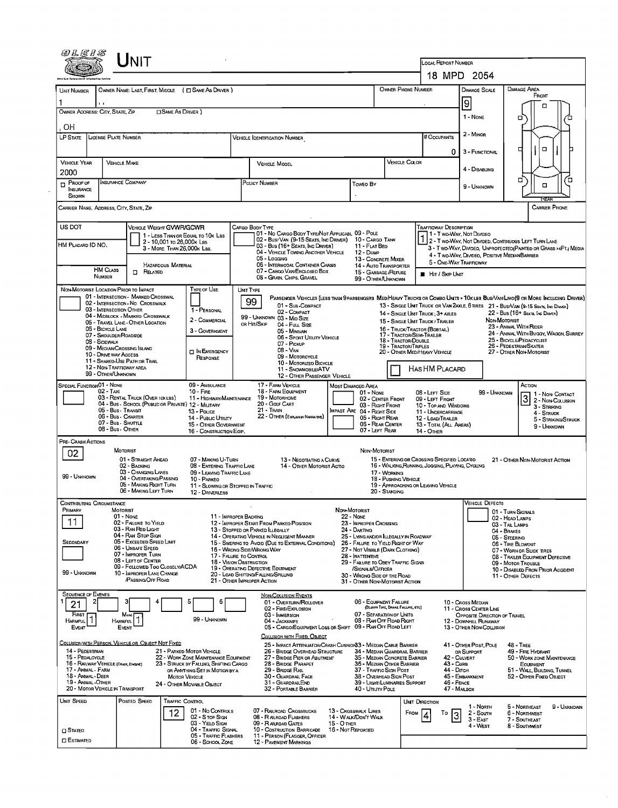|                                                                                                      |                                                                                                                                                                                                                                                                                                                                                                                        |                                                                                                                                                                                                    |                                                                                                                                                                                                                                                                                                                                                                                                       |                                                                                                                                                                                                                                                                                                                                              |                                                                                                                                                                                  | LOCAL REPORT NUMBER                                                                                                                                 |                                                                                                                                  |                                                                                                                                                                                                                                                                                                                                                                                                                            |
|------------------------------------------------------------------------------------------------------|----------------------------------------------------------------------------------------------------------------------------------------------------------------------------------------------------------------------------------------------------------------------------------------------------------------------------------------------------------------------------------------|----------------------------------------------------------------------------------------------------------------------------------------------------------------------------------------------------|-------------------------------------------------------------------------------------------------------------------------------------------------------------------------------------------------------------------------------------------------------------------------------------------------------------------------------------------------------------------------------------------------------|----------------------------------------------------------------------------------------------------------------------------------------------------------------------------------------------------------------------------------------------------------------------------------------------------------------------------------------------|----------------------------------------------------------------------------------------------------------------------------------------------------------------------------------|-----------------------------------------------------------------------------------------------------------------------------------------------------|----------------------------------------------------------------------------------------------------------------------------------|----------------------------------------------------------------------------------------------------------------------------------------------------------------------------------------------------------------------------------------------------------------------------------------------------------------------------------------------------------------------------------------------------------------------------|
|                                                                                                      |                                                                                                                                                                                                                                                                                                                                                                                        |                                                                                                                                                                                                    |                                                                                                                                                                                                                                                                                                                                                                                                       |                                                                                                                                                                                                                                                                                                                                              |                                                                                                                                                                                  |                                                                                                                                                     | 18 MPD 2054                                                                                                                      |                                                                                                                                                                                                                                                                                                                                                                                                                            |
| UNIT NUMBER                                                                                          |                                                                                                                                                                                                                                                                                                                                                                                        | OWNER NAME: LAST, FIRST, MIDDLE ( C SAME AS DRIVER )                                                                                                                                               |                                                                                                                                                                                                                                                                                                                                                                                                       |                                                                                                                                                                                                                                                                                                                                              | OWNER PHONE NUMBER                                                                                                                                                               |                                                                                                                                                     | DAMAGE SCALE<br>9                                                                                                                | DAMAGE AREA<br>FRONT<br>α                                                                                                                                                                                                                                                                                                                                                                                                  |
| OWNER ADDRESS: CITY, STATE, ZIP<br>OН                                                                |                                                                                                                                                                                                                                                                                                                                                                                        | <b>CISAME AS DRIVER</b> )                                                                                                                                                                          |                                                                                                                                                                                                                                                                                                                                                                                                       |                                                                                                                                                                                                                                                                                                                                              |                                                                                                                                                                                  |                                                                                                                                                     | 1 - None                                                                                                                         | о                                                                                                                                                                                                                                                                                                                                                                                                                          |
| LP STATE                                                                                             | LICENSE PLATE NUMBER                                                                                                                                                                                                                                                                                                                                                                   |                                                                                                                                                                                                    | Vehicle Identification Number                                                                                                                                                                                                                                                                                                                                                                         |                                                                                                                                                                                                                                                                                                                                              |                                                                                                                                                                                  | # Occupants<br>0.                                                                                                                                   | 2 - MINOR<br>3 - FUNCTIONAL                                                                                                      | о                                                                                                                                                                                                                                                                                                                                                                                                                          |
| <b>VEHICLE YEAR</b><br>2000                                                                          | <b>VEHICLE MAKE</b>                                                                                                                                                                                                                                                                                                                                                                    |                                                                                                                                                                                                    | <b>VEHICLE MODEL</b>                                                                                                                                                                                                                                                                                                                                                                                  |                                                                                                                                                                                                                                                                                                                                              | VEHICLE COLOR                                                                                                                                                                    |                                                                                                                                                     | 4 - Disabung                                                                                                                     |                                                                                                                                                                                                                                                                                                                                                                                                                            |
| PROOF OF<br><b>INSURANCE</b><br>SHOWN                                                                | <b>INSURANCE COMPANY</b>                                                                                                                                                                                                                                                                                                                                                               |                                                                                                                                                                                                    | POLICY NUMBER                                                                                                                                                                                                                                                                                                                                                                                         | Toweo By                                                                                                                                                                                                                                                                                                                                     |                                                                                                                                                                                  |                                                                                                                                                     | 9 - UNKNOWN                                                                                                                      | π,<br>7⊐<br>$\Box$<br>RFA                                                                                                                                                                                                                                                                                                                                                                                                  |
|                                                                                                      | CARRIER NAME, ADDRESS, CITY, STATE, ZIP                                                                                                                                                                                                                                                                                                                                                |                                                                                                                                                                                                    |                                                                                                                                                                                                                                                                                                                                                                                                       |                                                                                                                                                                                                                                                                                                                                              |                                                                                                                                                                                  |                                                                                                                                                     |                                                                                                                                  | <b>CARRIER PHONE</b>                                                                                                                                                                                                                                                                                                                                                                                                       |
| US DOT<br>HM PLACARD ID NO.                                                                          | <b>HM CLASS</b><br><b>n</b> Related<br><b>NUMBER</b>                                                                                                                                                                                                                                                                                                                                   | VEHICLE WEIGHT GVWR/GCWR<br>1 - LESS THAN OR EQUAL TO 10K LBS<br>2 - 10,001 To 26,000K Las<br>3 - MORE THAN 26,000K LBS.<br><b>HAZARDOUS MATERIAL</b>                                              | CARGO BOOY TYPE<br>01 - No CARGO BODY TYPE/NOT APPLICABL 09 - POLE<br>02 - Bus/VAN (9-15 SEATS, INC DRIVER) 10 - CARGO TANK<br>03 - Bus (16+ Seats, Inc Driver)<br>04 - VEHICLE TOWING ANOTHER VEHICLE<br>05 - Logging<br>06 - INTERMODAL CONTAINER CHASIS<br>07 - CARGO VAN ENCLOSED BOX<br>08 - GRAIN, CHIPS, GRAVEL                                                                                | $11 -$ Frat Ben<br>12 - Du <sub>M</sub> P                                                                                                                                                                                                                                                                                                    | 13 - CONCRETE MIXER<br>14 - Auto Transporter<br>15 - GARBAGE / REFUSE<br>99 - OTHER/UNKNOWN                                                                                      | <b>TRAFFICWAY DESCRIPTION</b><br>1 - Two-Way, Not Divideo<br>5 - ONE-WAY TRAFFICWAY<br>HIT / SKP UNIT                                               | 4 - Two-Way, DIVIDED, POSITIVE MEDIANBARRIER                                                                                     | 1 2 - T WO WAY, NOT DIMDED, CONTINUOUS LEFT TURN LANE<br>3 - T WO-WAY, DIMDEO, UNPROTECTED (PAINTED OR GRASS >4FT.) MEDIA                                                                                                                                                                                                                                                                                                  |
|                                                                                                      | 01 - INTERSECTION - MARKED CROSSWAL<br>02 - INTERSECTION - NO CROSSWALK<br>03 - INTERSECTION OTHER<br>04 - MIDBLOCK - MARKED CROSSWALK<br>05 - TRAVEL LANE - OTHER LOCATION<br>06 - BICYCLE LANE<br>07 - Shoulder/Roadside<br>08 - Sidewalk<br>09 - MEDIAN/CROSSING ISLAND<br>10 - DRIVE WAY ACCESS<br>11 - SHARED-USE PATH OR TRAIL<br>12 - NON-TRAFFICWAY AREA<br>99 - OTHER/UNKNOWN | 1 - PERSONAL<br>2 - COMMERCIAL<br>3 - GOVERNMENT<br><b>IT IN EMERGENCY</b><br>RESPONSE                                                                                                             | 99<br>01 - Sub-COMPACT<br>02 - COMPACT<br>99 - UNKNOWN 03 - MID SIZE<br>or Hit/Skip<br>04 - Full Size<br>05 - MINIVAN<br>06 - Sport Utluty Vehicle<br>07 - PICKUP<br>08 - VAN<br>09 - MOTORCYCLE<br>10 - MOTORIZED BICYCLE<br>11 - SNOWMOBILE/ATV<br>12 - OTHER PASSENGER VEHICLE                                                                                                                     |                                                                                                                                                                                                                                                                                                                                              | 16 - TRUCK/TRACTOR (BOBTAIL)<br>17 - Tractor/Semi-Trailer<br>18 - TRACTOR/DOUBLE<br><b>19 - TRACTOR/TRIPLES</b>                                                                  | 14 - SINGLE UNIT TRUCK; 3+ AXLES<br>15 - SINGLE UNIT TRUCK / TRAILER<br>20 - OTHER MED/HEAVY VEHICLE<br>HAS HM PLACARD                              |                                                                                                                                  | PASSENGER VEHICLES (LESS THAN 9 PASSENGERS MED/HEAVY TRUCKS OR COMBO UNITS > 10K LBS BUS/VAN/LIMO(9 OR MORE INCLUDING DRIVER)<br>13 - SINGLE UNIT TRUCK OR VAN 2AXLE, 6 TIRES 21 - BUS/VAN (9-15 SEATS, INC DAVER)<br>22 - Bus (16+ Seats, Inc Driver)<br>NON-MOTORIST<br>23 - ANIMAL WITH RIDER<br>24 - ANIMAL WITH BUGGY, WAGON, SURREY<br>25 - BICYCLE/PEDACYCLIST<br>26 - PEDESTRIAN/SKATER<br>27 - OTHER NON-MOTORIST |
| <b>SPECIAL FUNCTIONO1 - NONE</b>                                                                     | $02 - T$ AXI<br>03 - RENTAL TRUCK (OVER 10KLBS)<br>04 - Bus - SCHOOL (PUBLIC OR PRIVATE) 12 - MILITARY<br>05 - Bus - Transit<br>06 - Bus - CHARTER<br>07 - Bus - SHUTTLE<br>08 - Bus - Other                                                                                                                                                                                           | 09 - ANBULANCE<br>$10 -$ FIRE<br>11 - HIGHWAY/MAINTENANCE<br>13 - Pouce<br>14 - PuBLIC UTILITY<br>15 - OTHER GOVERNMENT<br>16 - CONSTRUCTION EQIP.                                                 | 17 - FARM VEHICLE<br>18 - FARM EQUIPMENT<br>19 - Мотовноме<br>20 - Gour CART<br>21 - TRAN<br>22 - OTHER (EXPLAIN IN NARRATIVE)                                                                                                                                                                                                                                                                        | MOST DAMAGED AREA<br>$01 - None$<br><b>IMPACT ARE 04 - RIGHT SIDE</b><br>07 - LEFT REAR                                                                                                                                                                                                                                                      | 02 - CENTER FRONT<br>03 - RIGHT FRONT<br>05 - Right Rear<br>06 - REAR CENTER                                                                                                     | 08 - LEFT SIDE<br>09 - LEFT FRONT<br>10 - TOP AND WINDOWS<br>11 - UNDERCARRIAGE<br>12 - LOAD/TRAILER<br>13 - TOTAL (ALL AREAS)<br><b>14 - OTHER</b> | 99 - Unknown                                                                                                                     | ACTION<br>1 1 - Non-Contact<br>3 2- Non-Collision<br>3 - Striking<br>4 - Struck<br>5 - STRIKING/STRUCK<br>9 - UNKNOWN                                                                                                                                                                                                                                                                                                      |
| PRE-CRASH ACTIONS<br>02<br>99 - UNKNOWN                                                              | MOTORIST<br>01 - STRAIGHT AHEAD<br>02 - BACKING<br>03 - CHANGING LANES<br>04 - Overtaking/Passing<br>05 - MAKING RIGHT TURN<br>06 - MAKING LEFT TURN                                                                                                                                                                                                                                   | 07 - MAKING U-TURN<br>08 - ENTERING TRAFFIC LANE<br>09 - LEAVING TRAFFIC LANE<br>10 - PARKEO<br>12 - DRIVERLESS                                                                                    | 13 - Negotiating a Curve<br>14 - OTHER MOTORIST ACTIO<br>11 - Slowing or Stopped in Traffic                                                                                                                                                                                                                                                                                                           | Non-Motorist                                                                                                                                                                                                                                                                                                                                 | 17 - Working<br>18 - Pushing Vehicle<br>20 - STANDING                                                                                                                            | 15 - ENTERING OR CROSSING SPECIFIED LOCATIO<br>16 - WALKING RUNNING, JOGGING, PLAYING, CYCLING<br>19 - APPROACHING OR LEAVING VEHICLE               |                                                                                                                                  | 21 - OTHER NON-MOTORIST ACTION                                                                                                                                                                                                                                                                                                                                                                                             |
| Jontributing Circumstance<br>PRIMARY<br>11<br>SECONDARY<br>99 - Unknown                              | MOTORIST<br>01 - None<br>02 - FALURE TO YIELD<br>03 - RAN RED LIGHT<br>04 - RAN STOP SIGN<br>05 - Exceeded Speed Limit<br>06 - UNSAFE SPEED<br>07 - IMPROPER TURN<br>08 - LEFT OF CENTER<br>09 - FOLLOWED TOO CLOSELY/ACDA<br>10 - IMPROPER LANE CHANGE<br>/PASSING/OFF ROAD                                                                                                           |                                                                                                                                                                                                    | 11 - IMPROPER BACKING<br>12 - IMPROPER START FROM PARKED POSITION<br>13 - STOPPED OR PARKED LLEGALLY<br>14 - OPERATING VEHICLE IN NEGLIGENT MANNER<br>15 - SWERING TO AVOID (DUE TO EXTERNAL CONDITIONS)<br>16 - Wrong Side/Wrong Way<br>17 - FALURE TO CONTROL<br>18 - VISION OBSTRUCTION<br>19 - OPERATING DEFECTIVE EQUIPMENT<br>20 - LOAD SHIFTING/FALLING/SPILLING<br>21 - OTHER IMPROPER ACTION | NON-MOTORIST<br><b>22 - NONE</b><br>23 - IMPROPER CROSSING<br>24 - DARTING<br>25 - LYING AND/OR ILLEGALLY IN ROADWAY<br>26 - FALURE TO YIELD RIGHT OF WAY<br>27 - NOT VISIBLE (DARK CLOTHING)<br>28 - INATTENTIVE<br>29 - FAILURE TO OBEY TRAFFIC SIGNS<br>/Signals/Officer<br>30 - WRONG SIDE OF THE ROAD<br>31 - OTHER NON-MOTORIST ACTION |                                                                                                                                                                                  |                                                                                                                                                     | VEHICLE LJEFECTS                                                                                                                 | 01 - TURN SIGNALS<br>02 - HEAD LAMPS<br>03 - TAIL LAMPS<br>04 - BRAKES<br>05 - Steering<br>06 - TIRE BLOWOUT<br>07 - WORN OR SLICK TIRES<br>08 - TRAILER EQUIPMENT DEFECTIVE<br>09 - MOTOR TROUBLE<br>10 - DISABLED FROM PRIOR ACCIDENT<br>11 - OTHER DEFECTS                                                                                                                                                              |
| <b>SEQUENCE OF EVENTS</b><br>21<br>FIRST<br>HARMFUL <sup>1</sup><br>EVENT                            | Most  <br>$\mathbf{1}$<br><b>HARMFUL</b><br>EVENT                                                                                                                                                                                                                                                                                                                                      | 5<br>6<br>99 - UNKNOWN                                                                                                                                                                             | <b>NON-COLLISION EVENTS</b><br>01 - OVERTURN/ROLLOVER<br>02 - FIRE/EXPLOSION<br>03 - INMERSION<br>04 - JACKKNIFE<br>05 - CARGO/EQUIPMENT LOSS OR SHIFT<br>COLLISION WITH FIXED, OBJECT                                                                                                                                                                                                                |                                                                                                                                                                                                                                                                                                                                              | 06 - EQUIPMENT FAILURE<br>(BLOWN TIRE, BRAKE FAILURE, ETC)<br>07 - SEPARATION OF UNITS<br>08 - RAN OFF ROAD RIGHT<br>09 - RAN OFF ROAD LEFT                                      |                                                                                                                                                     | 10 - Cross Median<br>11 - Cross CENTER LINE<br>OPPOSITE DIRECTION OF TRAVEL<br>12 - DOWNHILL RUNAWAY<br>13 - OTHER NON-COLLISION |                                                                                                                                                                                                                                                                                                                                                                                                                            |
| 14 - PEDESTRIAN<br>15 - PEOALCYCLE<br>17 - Animal - Farm<br>18 - Animal - Deer<br>19 - Animal -Other | COLLISION WITH PERSON, VEHICLE OR OBJECT NOT FIXED<br>16 - RAILWAY VEHICLE (TRAIN, ENGINE)<br>20 - MOTOR VEHICLE IN TRANSPORT                                                                                                                                                                                                                                                          | 21 - PARKED MOTOR VEHICLE<br>22 - WORK ZONE MAINTENANCE EQUIPMENT<br>23 - STRUCK BY FALLING, SHIFTING CARGO<br>or Anything Set in Motion by a<br><b>MOTOR VEHICLE</b><br>24 - OTHER MOVABLE OBJECT | 25 - IMPACT ATTENUATOR/CRASH CUSHION33 - MEDIAN CABLE BARRIER<br>26 - BRIDGE OVERHEAD STRUCTURE<br>27 - BRIDGE PIER OR ABUTMENT<br>28 - BRIDGE PARAPET<br>29 - BRIDGE RAIL<br>30 - GUARDRAIL FACE<br>31 - GUARDRAILEND<br>32 - PORTABLE BARRIER                                                                                                                                                       | 40 - Unury Pole                                                                                                                                                                                                                                                                                                                              | 34 - MEDIAN GUARDRAIL BARRIER<br>35 - MEDIAN CONCRETE BARRIER<br>36 - MEDIAN OTHER BARRIER<br>37 - TRAFFIC SIGN POST<br>38 - OVERHEAD SIGN POST<br>39 - LIGHT/LUMINARIES SUPPORT | 43 - Curs<br>44 - Dirch<br>46 - FENCE<br>47 - MAILBOX                                                                                               | 41 - OTHER POST, POLE<br>OR SUPPORT<br>42 - CULVERT<br>45 - EMBANKMENT                                                           | <b>48 - TREE</b><br>49 - FIRE HYDRANT<br>50 - WORK ZONE MAINTENANCE<br>EQUIPMENT<br>51 - WALL, BUILDING, TUNNEL<br>52 - OTHER FIXED OBJECT                                                                                                                                                                                                                                                                                 |
| <b>UNIT SPEED</b><br>$\square$ Stateo<br><b>CI ESTIMATED</b>                                         | POSTED SPEED                                                                                                                                                                                                                                                                                                                                                                           | TRAFFIC CONTROL<br>01 - No Controls<br>12<br>02 - S TOP SIGN<br>03 - YIELD SIGN<br>04 - TRAFFIC SIGNAL<br>05 - TRAFFIC FLASHERS<br>06 - SCHOOL ZONE                                                | 07 - RAILROAD CROSSBUCKS<br>08 - R ALROAD FLASHERS<br>09 - R AILROAD GATES<br>10 - COSTRUCTION BARRICADE<br>11 - PERSON (FLAGGER, OFFICER<br><b>12 - PAVEMENT MARKINGS</b>                                                                                                                                                                                                                            | 13 - Crosswalk Lines<br>14 - WALK/DON'T WALK<br>15 - О тнев<br>16 - Not Reported                                                                                                                                                                                                                                                             | FROM                                                                                                                                                                             | <b>UNT DIRECTION</b><br>To<br>3                                                                                                                     | 1 - North<br>2 - South<br>$3 - EAF$<br>4 - WEST                                                                                  | 9 - Unknown<br>5 - Northeast<br>6 - NORTHWEST<br>7 - SOUTHEAST<br>8 - SOUTHWEST                                                                                                                                                                                                                                                                                                                                            |